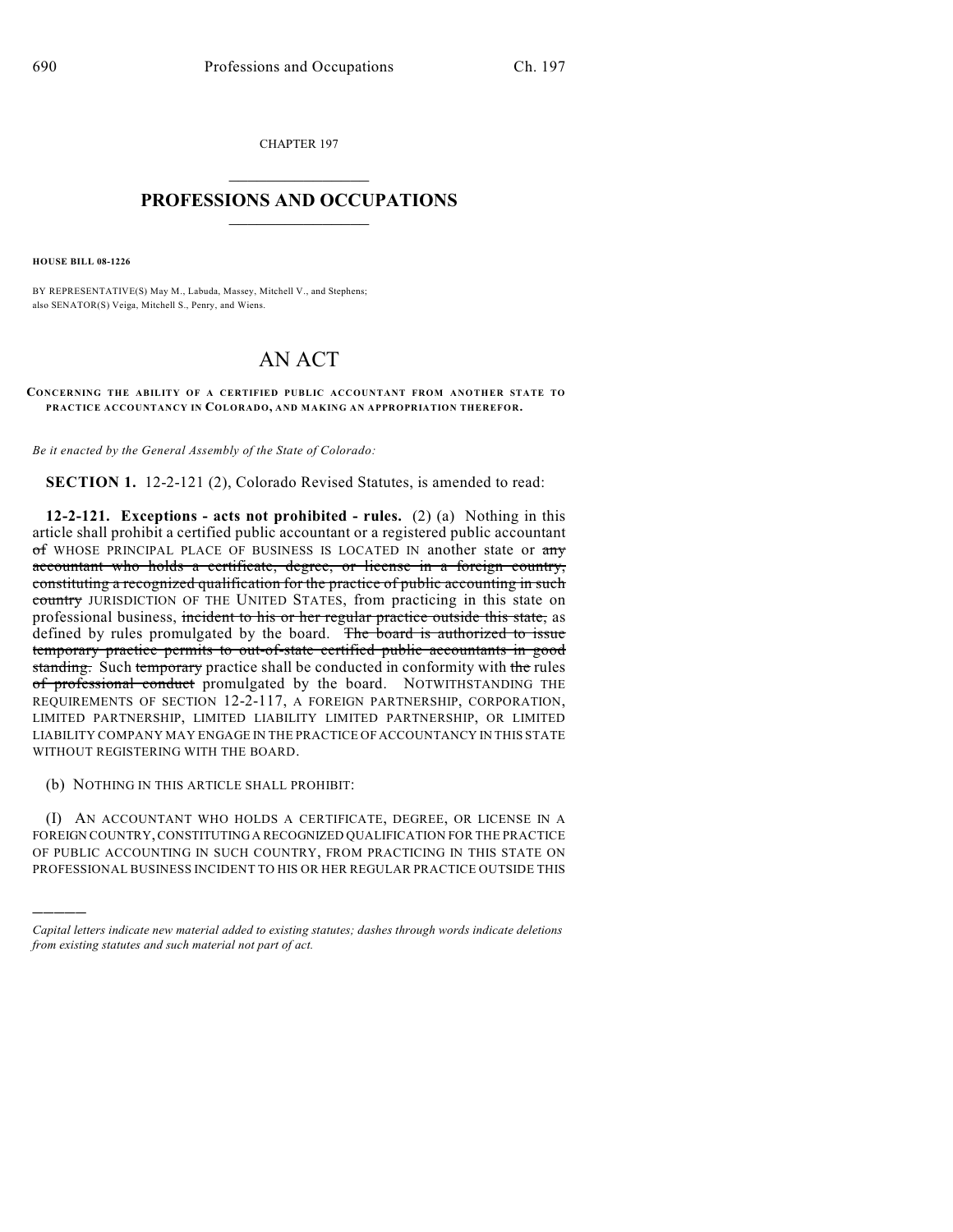CHAPTER 197

## $\overline{\phantom{a}}$  . The set of the set of the set of the set of the set of the set of the set of the set of the set of the set of the set of the set of the set of the set of the set of the set of the set of the set of the set o **PROFESSIONS AND OCCUPATIONS**  $\frac{1}{2}$  ,  $\frac{1}{2}$  ,  $\frac{1}{2}$  ,  $\frac{1}{2}$  ,  $\frac{1}{2}$  ,  $\frac{1}{2}$

**HOUSE BILL 08-1226**

)))))

BY REPRESENTATIVE(S) May M., Labuda, Massey, Mitchell V., and Stephens; also SENATOR(S) Veiga, Mitchell S., Penry, and Wiens.

## AN ACT

**CONCERNING THE ABILITY OF A CERTIFIED PUBLIC ACCOUNTANT FROM ANOTHER STATE TO PRACTICE ACCOUNTANCY IN COLORADO, AND MAKING AN APPROPRIATION THEREFOR.**

*Be it enacted by the General Assembly of the State of Colorado:*

**SECTION 1.** 12-2-121 (2), Colorado Revised Statutes, is amended to read:

**12-2-121. Exceptions - acts not prohibited - rules.** (2) (a) Nothing in this article shall prohibit a certified public accountant or a registered public accountant of WHOSE PRINCIPAL PLACE OF BUSINESS IS LOCATED IN another state or any accountant who holds a certificate, degree, or license in a foreign country, constituting a recognized qualification for the practice of public accounting in such country JURISDICTION OF THE UNITED STATES, from practicing in this state on professional business, incident to his or her regular practice outside this state, as defined by rules promulgated by the board. The board is authorized to issue temporary practice permits to out-of-state certified public accountants in good standing. Such temporary practice shall be conducted in conformity with the rules of professional conduct promulgated by the board. NOTWITHSTANDING THE REQUIREMENTS OF SECTION 12-2-117, A FOREIGN PARTNERSHIP, CORPORATION, LIMITED PARTNERSHIP, LIMITED LIABILITY LIMITED PARTNERSHIP, OR LIMITED LIABILITY COMPANY MAY ENGAGE IN THE PRACTICE OF ACCOUNTANCY IN THIS STATE WITHOUT REGISTERING WITH THE BOARD.

(b) NOTHING IN THIS ARTICLE SHALL PROHIBIT:

(I) AN ACCOUNTANT WHO HOLDS A CERTIFICATE, DEGREE, OR LICENSE IN A FOREIGN COUNTRY, CONSTITUTING A RECOGNIZED QUALIFICATION FOR THE PRACTICE OF PUBLIC ACCOUNTING IN SUCH COUNTRY, FROM PRACTICING IN THIS STATE ON PROFESSIONAL BUSINESS INCIDENT TO HIS OR HER REGULAR PRACTICE OUTSIDE THIS

*Capital letters indicate new material added to existing statutes; dashes through words indicate deletions from existing statutes and such material not part of act.*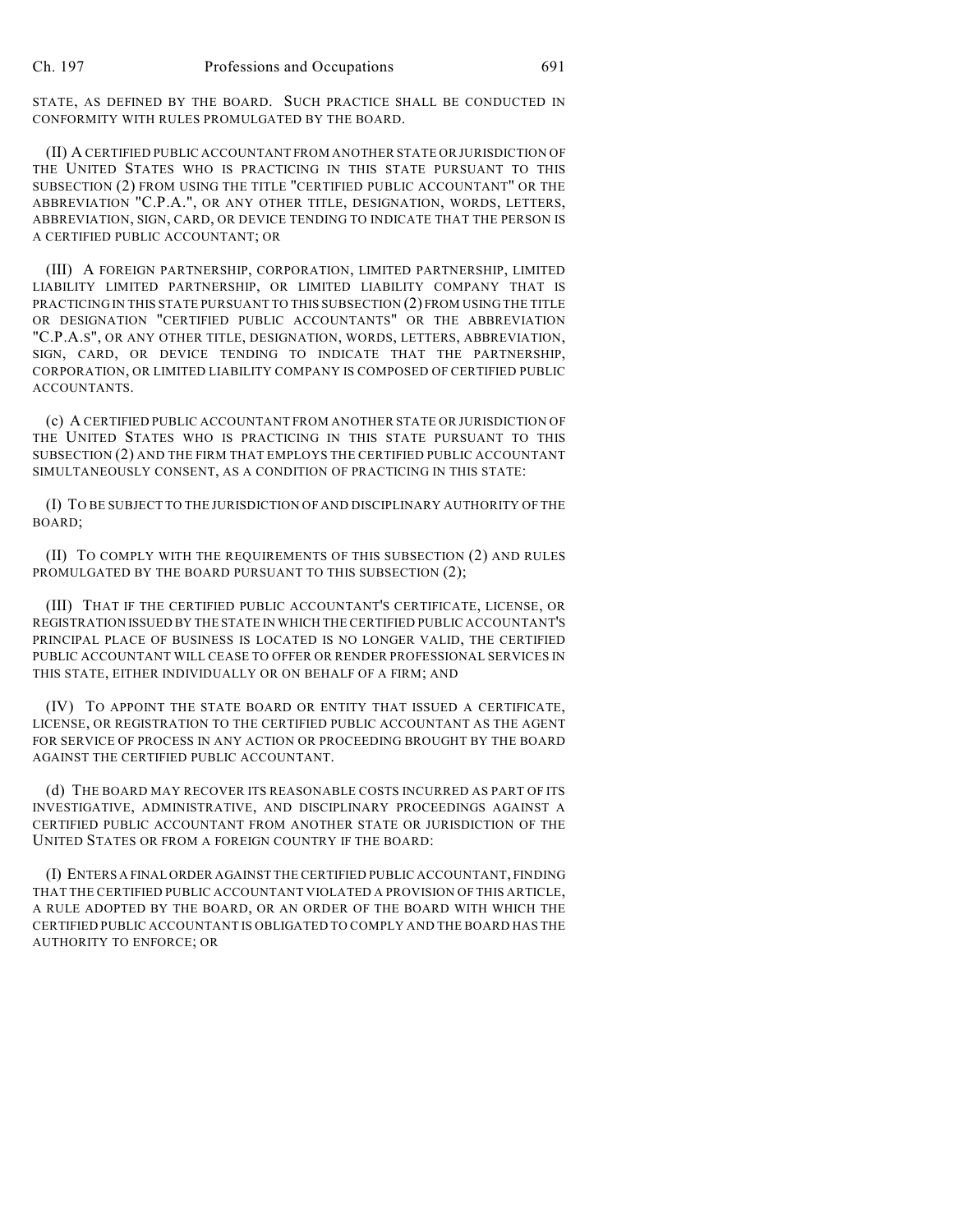STATE, AS DEFINED BY THE BOARD. SUCH PRACTICE SHALL BE CONDUCTED IN CONFORMITY WITH RULES PROMULGATED BY THE BOARD.

(II) A CERTIFIED PUBLIC ACCOUNTANT FROM ANOTHER STATE OR JURISDICTION OF THE UNITED STATES WHO IS PRACTICING IN THIS STATE PURSUANT TO THIS SUBSECTION (2) FROM USING THE TITLE "CERTIFIED PUBLIC ACCOUNTANT" OR THE ABBREVIATION "C.P.A.", OR ANY OTHER TITLE, DESIGNATION, WORDS, LETTERS, ABBREVIATION, SIGN, CARD, OR DEVICE TENDING TO INDICATE THAT THE PERSON IS A CERTIFIED PUBLIC ACCOUNTANT; OR

(III) A FOREIGN PARTNERSHIP, CORPORATION, LIMITED PARTNERSHIP, LIMITED LIABILITY LIMITED PARTNERSHIP, OR LIMITED LIABILITY COMPANY THAT IS PRACTICING IN THIS STATE PURSUANT TO THIS SUBSECTION (2) FROM USING THE TITLE OR DESIGNATION "CERTIFIED PUBLIC ACCOUNTANTS" OR THE ABBREVIATION "C.P.A.S", OR ANY OTHER TITLE, DESIGNATION, WORDS, LETTERS, ABBREVIATION, SIGN, CARD, OR DEVICE TENDING TO INDICATE THAT THE PARTNERSHIP, CORPORATION, OR LIMITED LIABILITY COMPANY IS COMPOSED OF CERTIFIED PUBLIC ACCOUNTANTS.

(c) A CERTIFIED PUBLIC ACCOUNTANT FROM ANOTHER STATE OR JURISDICTION OF THE UNITED STATES WHO IS PRACTICING IN THIS STATE PURSUANT TO THIS SUBSECTION (2) AND THE FIRM THAT EMPLOYS THE CERTIFIED PUBLIC ACCOUNTANT SIMULTANEOUSLY CONSENT, AS A CONDITION OF PRACTICING IN THIS STATE:

(I) TO BE SUBJECT TO THE JURISDICTION OF AND DISCIPLINARY AUTHORITY OF THE BOARD;

(II) TO COMPLY WITH THE REQUIREMENTS OF THIS SUBSECTION (2) AND RULES PROMULGATED BY THE BOARD PURSUANT TO THIS SUBSECTION (2);

(III) THAT IF THE CERTIFIED PUBLIC ACCOUNTANT'S CERTIFICATE, LICENSE, OR REGISTRATION ISSUED BY THE STATE IN WHICH THE CERTIFIED PUBLIC ACCOUNTANT'S PRINCIPAL PLACE OF BUSINESS IS LOCATED IS NO LONGER VALID, THE CERTIFIED PUBLIC ACCOUNTANT WILL CEASE TO OFFER OR RENDER PROFESSIONAL SERVICES IN THIS STATE, EITHER INDIVIDUALLY OR ON BEHALF OF A FIRM; AND

(IV) TO APPOINT THE STATE BOARD OR ENTITY THAT ISSUED A CERTIFICATE, LICENSE, OR REGISTRATION TO THE CERTIFIED PUBLIC ACCOUNTANT AS THE AGENT FOR SERVICE OF PROCESS IN ANY ACTION OR PROCEEDING BROUGHT BY THE BOARD AGAINST THE CERTIFIED PUBLIC ACCOUNTANT.

(d) THE BOARD MAY RECOVER ITS REASONABLE COSTS INCURRED AS PART OF ITS INVESTIGATIVE, ADMINISTRATIVE, AND DISCIPLINARY PROCEEDINGS AGAINST A CERTIFIED PUBLIC ACCOUNTANT FROM ANOTHER STATE OR JURISDICTION OF THE UNITED STATES OR FROM A FOREIGN COUNTRY IF THE BOARD:

(I) ENTERS A FINAL ORDER AGAINST THE CERTIFIED PUBLIC ACCOUNTANT, FINDING THAT THE CERTIFIED PUBLIC ACCOUNTANT VIOLATED A PROVISION OF THIS ARTICLE, A RULE ADOPTED BY THE BOARD, OR AN ORDER OF THE BOARD WITH WHICH THE CERTIFIED PUBLIC ACCOUNTANT IS OBLIGATED TO COMPLY AND THE BOARD HAS THE AUTHORITY TO ENFORCE; OR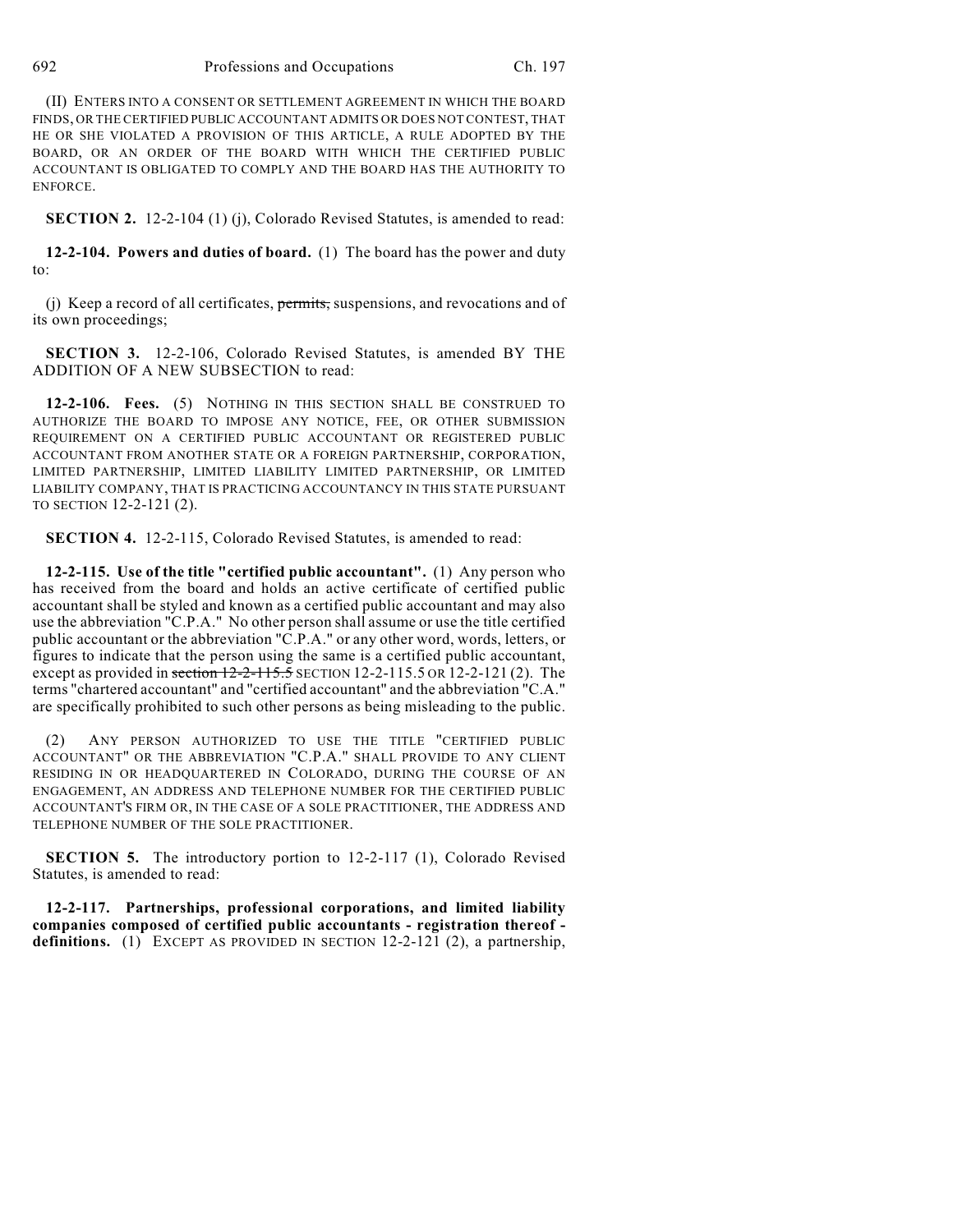(II) ENTERS INTO A CONSENT OR SETTLEMENT AGREEMENT IN WHICH THE BOARD FINDS, OR THE CERTIFIED PUBLIC ACCOUNTANT ADMITS OR DOES NOT CONTEST, THAT HE OR SHE VIOLATED A PROVISION OF THIS ARTICLE, A RULE ADOPTED BY THE BOARD, OR AN ORDER OF THE BOARD WITH WHICH THE CERTIFIED PUBLIC ACCOUNTANT IS OBLIGATED TO COMPLY AND THE BOARD HAS THE AUTHORITY TO ENFORCE.

**SECTION 2.** 12-2-104 (1) (j), Colorado Revised Statutes, is amended to read:

**12-2-104. Powers and duties of board.** (1) The board has the power and duty to:

(i) Keep a record of all certificates,  $\frac{permits}{S}$ , suspensions, and revocations and of its own proceedings;

**SECTION 3.** 12-2-106, Colorado Revised Statutes, is amended BY THE ADDITION OF A NEW SUBSECTION to read:

**12-2-106. Fees.** (5) NOTHING IN THIS SECTION SHALL BE CONSTRUED TO AUTHORIZE THE BOARD TO IMPOSE ANY NOTICE, FEE, OR OTHER SUBMISSION REQUIREMENT ON A CERTIFIED PUBLIC ACCOUNTANT OR REGISTERED PUBLIC ACCOUNTANT FROM ANOTHER STATE OR A FOREIGN PARTNERSHIP, CORPORATION, LIMITED PARTNERSHIP, LIMITED LIABILITY LIMITED PARTNERSHIP, OR LIMITED LIABILITY COMPANY, THAT IS PRACTICING ACCOUNTANCY IN THIS STATE PURSUANT TO SECTION 12-2-121 (2).

**SECTION 4.** 12-2-115, Colorado Revised Statutes, is amended to read:

**12-2-115. Use of the title "certified public accountant".** (1) Any person who has received from the board and holds an active certificate of certified public accountant shall be styled and known as a certified public accountant and may also use the abbreviation "C.P.A." No other person shall assume or use the title certified public accountant or the abbreviation "C.P.A." or any other word, words, letters, or figures to indicate that the person using the same is a certified public accountant, except as provided in section 12-2-115.5 SECTION 12-2-115.5 OR 12-2-121 (2). The terms "chartered accountant" and "certified accountant" and the abbreviation "C.A." are specifically prohibited to such other persons as being misleading to the public.

(2) ANY PERSON AUTHORIZED TO USE THE TITLE "CERTIFIED PUBLIC ACCOUNTANT" OR THE ABBREVIATION "C.P.A." SHALL PROVIDE TO ANY CLIENT RESIDING IN OR HEADQUARTERED IN COLORADO, DURING THE COURSE OF AN ENGAGEMENT, AN ADDRESS AND TELEPHONE NUMBER FOR THE CERTIFIED PUBLIC ACCOUNTANT'S FIRM OR, IN THE CASE OF A SOLE PRACTITIONER, THE ADDRESS AND TELEPHONE NUMBER OF THE SOLE PRACTITIONER.

**SECTION 5.** The introductory portion to 12-2-117 (1), Colorado Revised Statutes, is amended to read:

**12-2-117. Partnerships, professional corporations, and limited liability companies composed of certified public accountants - registration thereof definitions.** (1) EXCEPT AS PROVIDED IN SECTION 12-2-121 (2), a partnership,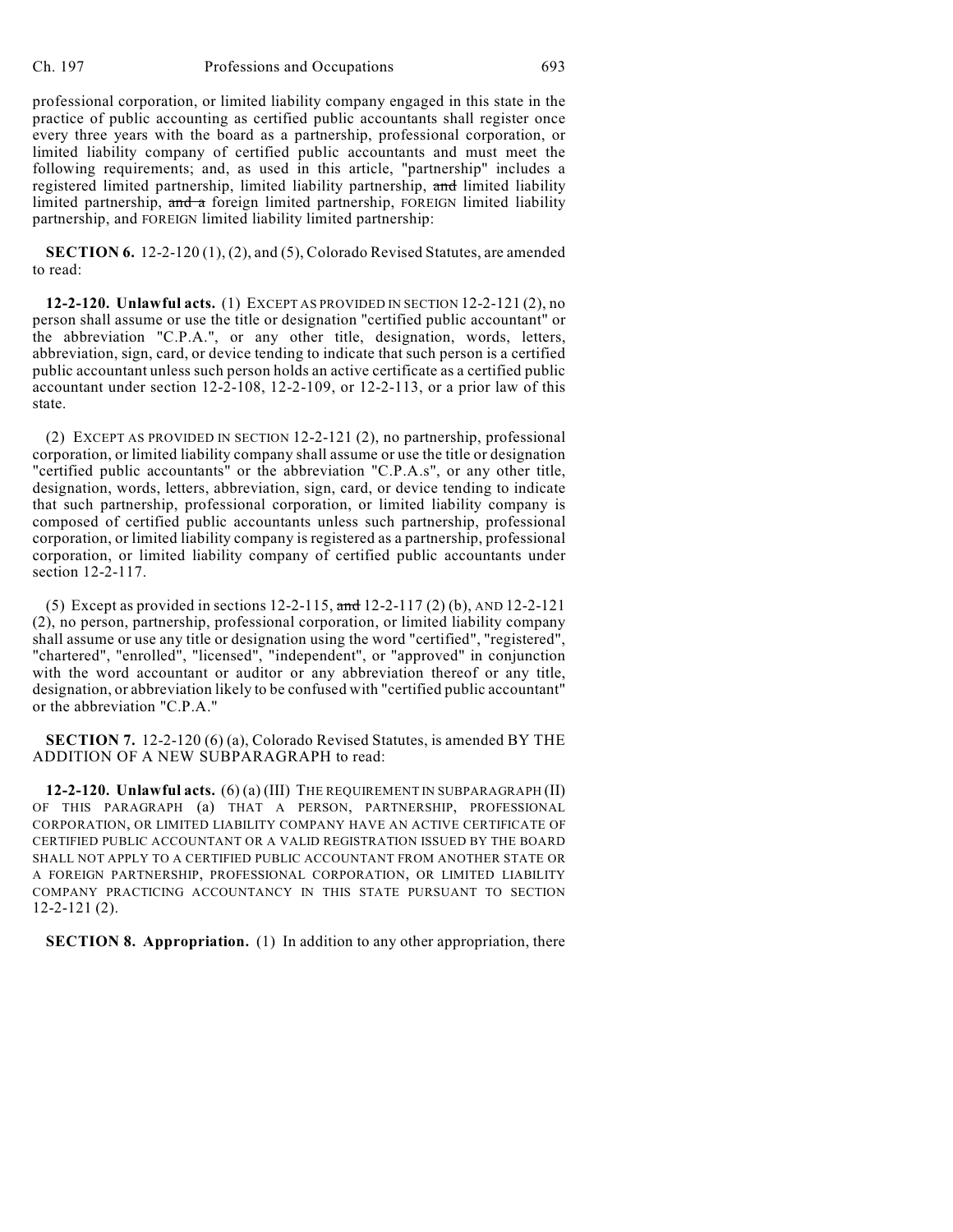professional corporation, or limited liability company engaged in this state in the practice of public accounting as certified public accountants shall register once every three years with the board as a partnership, professional corporation, or limited liability company of certified public accountants and must meet the following requirements; and, as used in this article, "partnership" includes a registered limited partnership, limited liability partnership, and limited liability limited partnership, and a foreign limited partnership, FOREIGN limited liability partnership, and FOREIGN limited liability limited partnership:

**SECTION 6.** 12-2-120 (1), (2), and (5), Colorado Revised Statutes, are amended to read:

**12-2-120. Unlawful acts.** (1) EXCEPT AS PROVIDED IN SECTION 12-2-121 (2), no person shall assume or use the title or designation "certified public accountant" or the abbreviation "C.P.A.", or any other title, designation, words, letters, abbreviation, sign, card, or device tending to indicate that such person is a certified public accountant unless such person holds an active certificate as a certified public accountant under section  $12-\overline{2}-108$ ,  $12-\overline{2}-109$ , or  $12-\overline{2}-113$ , or a prior law of this state.

(2) EXCEPT AS PROVIDED IN SECTION 12-2-121 (2), no partnership, professional corporation, or limited liability company shall assume or use the title or designation "certified public accountants" or the abbreviation "C.P.A.s", or any other title, designation, words, letters, abbreviation, sign, card, or device tending to indicate that such partnership, professional corporation, or limited liability company is composed of certified public accountants unless such partnership, professional corporation, or limited liability company is registered as a partnership, professional corporation, or limited liability company of certified public accountants under section 12-2-117.

(5) Except as provided in sections 12-2-115, and 12-2-117 (2) (b), AND 12-2-121 (2), no person, partnership, professional corporation, or limited liability company shall assume or use any title or designation using the word "certified", "registered", "chartered", "enrolled", "licensed", "independent", or "approved" in conjunction with the word accountant or auditor or any abbreviation thereof or any title, designation, or abbreviation likely to be confused with "certified public accountant" or the abbreviation "C.P.A."

**SECTION 7.** 12-2-120 (6) (a), Colorado Revised Statutes, is amended BY THE ADDITION OF A NEW SUBPARAGRAPH to read:

**12-2-120. Unlawful acts.** (6) (a) (III) THE REQUIREMENT IN SUBPARAGRAPH (II) OF THIS PARAGRAPH (a) THAT A PERSON, PARTNERSHIP, PROFESSIONAL CORPORATION, OR LIMITED LIABILITY COMPANY HAVE AN ACTIVE CERTIFICATE OF CERTIFIED PUBLIC ACCOUNTANT OR A VALID REGISTRATION ISSUED BY THE BOARD SHALL NOT APPLY TO A CERTIFIED PUBLIC ACCOUNTANT FROM ANOTHER STATE OR A FOREIGN PARTNERSHIP, PROFESSIONAL CORPORATION, OR LIMITED LIABILITY COMPANY PRACTICING ACCOUNTANCY IN THIS STATE PURSUANT TO SECTION 12-2-121 (2).

**SECTION 8. Appropriation.** (1) In addition to any other appropriation, there